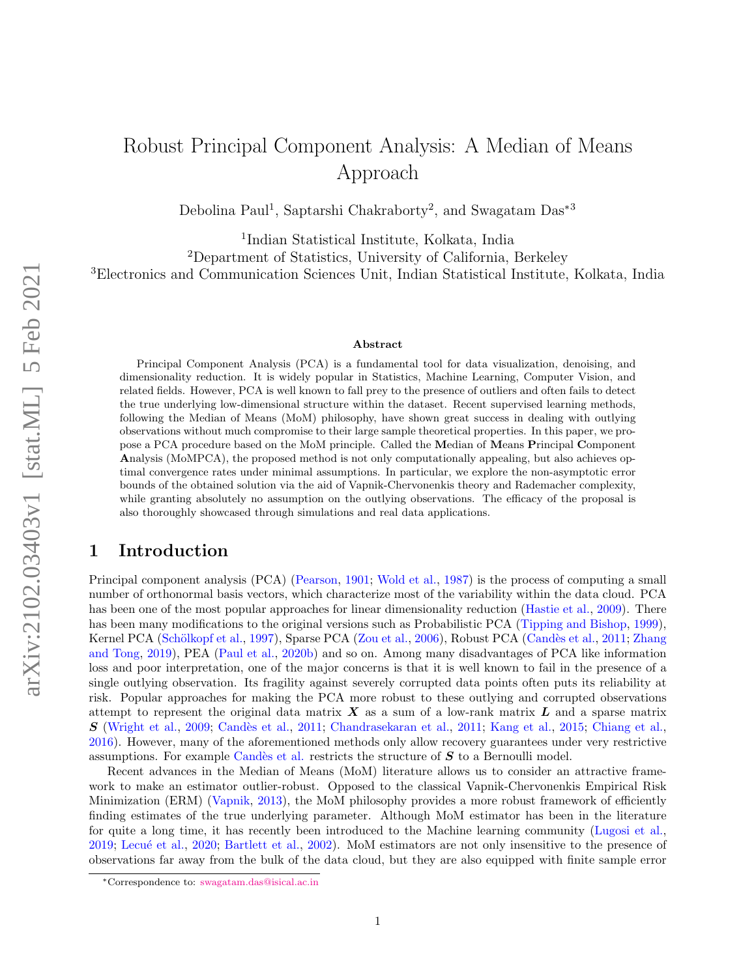## Robust Principal Component Analysis: A Median of Means Approach

Debolina Paul<sup>1</sup>, Saptarshi Chakraborty<sup>2</sup>, and Swagatam Das<sup>\*3</sup>

1 Indian Statistical Institute, Kolkata, India <sup>2</sup>Department of Statistics, University of California, Berkeley <sup>3</sup>Electronics and Communication Sciences Unit, Indian Statistical Institute, Kolkata, India

#### Abstract

Principal Component Analysis (PCA) is a fundamental tool for data visualization, denoising, and dimensionality reduction. It is widely popular in Statistics, Machine Learning, Computer Vision, and related fields. However, PCA is well known to fall prey to the presence of outliers and often fails to detect the true underlying low-dimensional structure within the dataset. Recent supervised learning methods, following the Median of Means (MoM) philosophy, have shown great success in dealing with outlying observations without much compromise to their large sample theoretical properties. In this paper, we propose a PCA procedure based on the MoM principle. Called the Median of Means Principal Component Analysis (MoMPCA), the proposed method is not only computationally appealing, but also achieves optimal convergence rates under minimal assumptions. In particular, we explore the non-asymptotic error bounds of the obtained solution via the aid of Vapnik-Chervonenkis theory and Rademacher complexity, while granting absolutely no assumption on the outlying observations. The efficacy of the proposal is also thoroughly showcased through simulations and real data applications.

## 1 Introduction

Principal component analysis (PCA) [\(Pearson,](#page-12-0) [1901;](#page-12-0) [Wold et al.,](#page-12-1) [1987\)](#page-12-1) is the process of computing a small number of orthonormal basis vectors, which characterize most of the variability within the data cloud. PCA has been one of the most popular approaches for linear dimensionality reduction [\(Hastie et al.,](#page-12-2) [2009\)](#page-12-2). There has been many modifications to the original versions such as Probabilistic PCA [\(Tipping and Bishop,](#page-12-3) [1999\)](#page-12-3), Kernel PCA (Schölkopf et al., [1997\)](#page-12-4), Sparse PCA [\(Zou et al.,](#page-13-0) [2006\)](#page-13-0), Robust PCA (Candès et al., [2011;](#page-11-0) [Zhang](#page-12-5) [and Tong,](#page-12-5) [2019\)](#page-12-5), PEA [\(Paul et al.,](#page-12-6) [2020b\)](#page-12-6) and so on. Among many disadvantages of PCA like information loss and poor interpretation, one of the major concerns is that it is well known to fail in the presence of a single outlying observation. Its fragility against severely corrupted data points often puts its reliability at risk. Popular approaches for making the PCA more robust to these outlying and corrupted observations attempt to represent the original data matrix  $\boldsymbol{X}$  as a sum of a low-rank matrix  $\boldsymbol{L}$  and a sparse matrix  $S$  [\(Wright et al.,](#page-12-7) [2009;](#page-12-7) Candès et al., [2011;](#page-11-1) [Chandrasekaran et al.,](#page-11-1) 2011; [Kang et al.,](#page-12-8) [2015;](#page-12-8) [Chiang et al.,](#page-12-9) [2016\)](#page-12-9). However, many of the aforementioned methods only allow recovery guarantees under very restrictive assumptions. For example Candès et al. restricts the structure of  $S$  to a Bernoulli model.

Recent advances in the Median of Means (MoM) literature allows us to consider an attractive framework to make an estimator outlier-robust. Opposed to the classical Vapnik-Chervonenkis Empirical Risk Minimization (ERM) [\(Vapnik,](#page-12-10) [2013\)](#page-12-10), the MoM philosophy provides a more robust framework of efficiently finding estimates of the true underlying parameter. Although MoM estimator has been in the literature for quite a long time, it has recently been introduced to the Machine learning community [\(Lugosi et al.,](#page-12-11) [2019;](#page-12-11) Lecué et al., [2020;](#page-12-12) [Bartlett et al.,](#page-11-2) [2002\)](#page-11-2). MoM estimators are not only insensitive to the presence of observations far away from the bulk of the data cloud, but they are also equipped with finite sample error

<sup>∗</sup>Correspondence to: [swagatam.das@isical.ac.in](mailto:swagatam.das@isical.ac.in)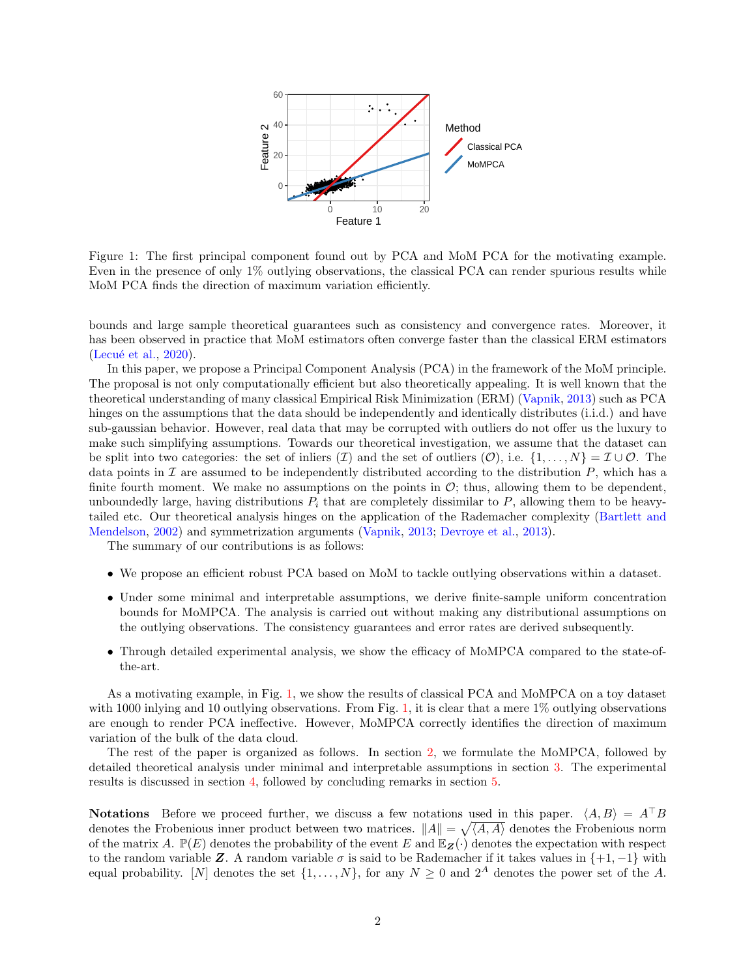

<span id="page-1-0"></span>Figure 1: The first principal component found out by PCA and MoM PCA for the motivating example. Even in the presence of only 1% outlying observations, the classical PCA can render spurious results while MoM PCA finds the direction of maximum variation efficiently.

bounds and large sample theoretical guarantees such as consistency and convergence rates. Moreover, it has been observed in practice that MoM estimators often converge faster than the classical ERM estimators (Lecué et al.,  $2020$ ).

In this paper, we propose a Principal Component Analysis (PCA) in the framework of the MoM principle. The proposal is not only computationally efficient but also theoretically appealing. It is well known that the theoretical understanding of many classical Empirical Risk Minimization (ERM) [\(Vapnik,](#page-12-10) [2013\)](#page-12-10) such as PCA hinges on the assumptions that the data should be independently and identically distributes (i.i.d.) and have sub-gaussian behavior. However, real data that may be corrupted with outliers do not offer us the luxury to make such simplifying assumptions. Towards our theoretical investigation, we assume that the dataset can be split into two categories: the set of inliers  $(\mathcal{I})$  and the set of outliers  $(\mathcal{O})$ , i.e.  $\{1,\ldots,N\}=\mathcal{I}\cup\mathcal{O}$ . The data points in  $\mathcal I$  are assumed to be independently distributed according to the distribution  $P$ , which has a finite fourth moment. We make no assumptions on the points in  $\mathcal{O}$ ; thus, allowing them to be dependent, unboundedly large, having distributions  $P_i$  that are completely dissimilar to  $P$ , allowing them to be heavytailed etc. Our theoretical analysis hinges on the application of the Rademacher complexity [\(Bartlett and](#page-11-3) [Mendelson,](#page-11-3) [2002\)](#page-11-3) and symmetrization arguments [\(Vapnik,](#page-12-10) [2013;](#page-12-10) [Devroye et al.,](#page-12-13) [2013\)](#page-12-13).

The summary of our contributions is as follows:

- We propose an efficient robust PCA based on MoM to tackle outlying observations within a dataset.
- Under some minimal and interpretable assumptions, we derive finite-sample uniform concentration bounds for MoMPCA. The analysis is carried out without making any distributional assumptions on the outlying observations. The consistency guarantees and error rates are derived subsequently.
- Through detailed experimental analysis, we show the efficacy of MoMPCA compared to the state-ofthe-art.

As a motivating example, in Fig. [1,](#page-1-0) we show the results of classical PCA and MoMPCA on a toy dataset with 1000 inlying and 10 outlying observations. From Fig. [1,](#page-1-0) it is clear that a mere 1\% outlying observations are enough to render PCA ineffective. However, MoMPCA correctly identifies the direction of maximum variation of the bulk of the data cloud.

The rest of the paper is organized as follows. In section [2,](#page-2-0) we formulate the MoMPCA, followed by detailed theoretical analysis under minimal and interpretable assumptions in section [3.](#page-3-0) The experimental results is discussed in section [4,](#page-9-0) followed by concluding remarks in section [5.](#page-11-4)

**Notations** Before we proceed further, we discuss a few notations used in this paper.  $\langle A, B \rangle = A^{\top}B$ denotes the Frobenious inner product between two matrices.  $||A|| = \sqrt{\langle A, A \rangle}$  denotes the Frobenious norm of the matrix A.  $\mathbb{P}(E)$  denotes the probability of the event E and  $\mathbb{E}_{Z}(\cdot)$  denotes the expectation with respect to the random variable Z. A random variable  $\sigma$  is said to be Rademacher if it takes values in  $\{+1, -1\}$  with equal probability. [N] denotes the set  $\{1, \ldots, N\}$ , for any  $N \geq 0$  and  $2^A$  denotes the power set of the A.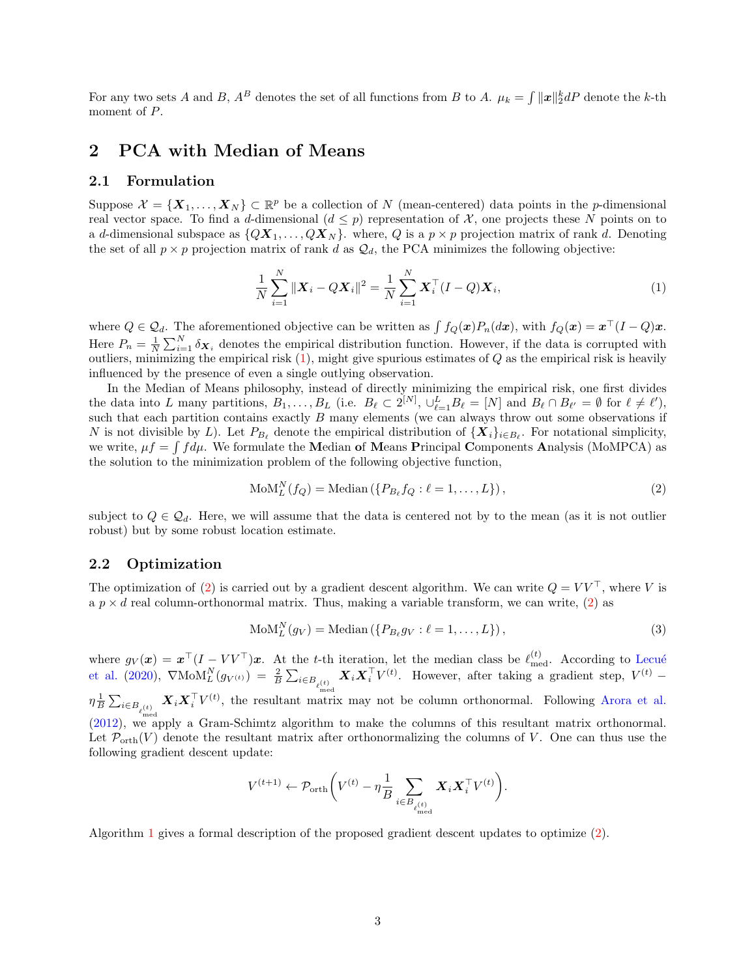For any two sets A and B,  $A^B$  denotes the set of all functions from B to A.  $\mu_k = \int ||x||_2^k dP$  denote the k-th moment of P.

## <span id="page-2-0"></span>2 PCA with Median of Means

### 2.1 Formulation

Suppose  $\mathcal{X} = \{X_1, \ldots, X_N\} \subset \mathbb{R}^p$  be a collection of N (mean-centered) data points in the p-dimensional real vector space. To find a d-dimensional  $(d \leq p)$  representation of X, one projects these N points on to a d-dimensional subspace as  $\{QX_1, \ldots, QX_N\}$ . where, Q is a  $p \times p$  projection matrix of rank d. Denoting the set of all  $p \times p$  projection matrix of rank d as  $\mathcal{Q}_d$ , the PCA minimizes the following objective:

<span id="page-2-1"></span>
$$
\frac{1}{N} \sum_{i=1}^{N} \|\boldsymbol{X}_{i} - Q\boldsymbol{X}_{i}\|^{2} = \frac{1}{N} \sum_{i=1}^{N} \boldsymbol{X}_{i}^{\top} (I - Q)\boldsymbol{X}_{i},
$$
\n(1)

where  $Q \in \mathcal{Q}_d$ . The aforementioned objective can be written as  $\int f_Q(\mathbf{x})P_n(d\mathbf{x})$ , with  $f_Q(\mathbf{x}) = \mathbf{x}^\top (I - Q)\mathbf{x}$ . Here  $P_n = \frac{1}{N} \sum_{i=1}^N \delta_{\mathbf{X}_i}$  denotes the empirical distribution function. However, if the data is corrupted with outliers, minimizing the empirical risk  $(1)$ , might give spurious estimates of  $Q$  as the empirical risk is heavily influenced by the presence of even a single outlying observation.

In the Median of Means philosophy, instead of directly minimizing the empirical risk, one first divides the data into L many partitions,  $B_1, \ldots, B_L$  (i.e.  $B_\ell \subset 2^{[N]}, \cup_{\ell=1}^L B_\ell = [N]$  and  $B_\ell \cap B_{\ell'} = \emptyset$  for  $\ell \neq \ell'$ ), such that each partition contains exactly  $B$  many elements (we can always throw out some observations if N is not divisible by L). Let  $P_{B_\ell}$  denote the empirical distribution of  ${\{X_i\}}_{i\in B_\ell}$ . For notational simplicity, we write,  $\mu f = \int f d\mu$ . We formulate the Median of Means Principal Components Analysis (MoMPCA) as the solution to the minimization problem of the following objective function,

<span id="page-2-2"></span>
$$
MoMLN(fQ) = Median (\lbrace PBℓ fQ : \ell = 1, ..., L \rbrace),
$$
\n(2)

subject to  $Q \in \mathcal{Q}_d$ . Here, we will assume that the data is centered not by to the mean (as it is not outlier robust) but by some robust location estimate.

#### 2.2 Optimization

The optimization of [\(2\)](#page-2-2) is carried out by a gradient descent algorithm. We can write  $Q = V V^{\top}$ , where V is a  $p \times d$  real column-orthonormal matrix. Thus, making a variable transform, we can write, [\(2\)](#page-2-2) as

$$
MoMLN(gV) = Median({PBℓgV : l = 1,..., L}),
$$
\n(3)

where  $g_V(\boldsymbol{x}) = \boldsymbol{x}^\top (I - V V^\top) \boldsymbol{x}$ . At the t-th iteration, let the median class be  $\ell_{\text{med}}^{(t)}$ . According to Lecué [et al.](#page-12-12) [\(2020\)](#page-12-12),  $\nabla \text{MoM}_{L}^{N}(g_{V^{(t)}}) = \frac{2}{B} \sum_{i \in B_{\ell^{(t)}}} \boldsymbol{X}_{i} \boldsymbol{X}_{i}^{\top} V^{(t)}$ . However, after taking a gradient step,  $V^{(t)}$  –  $\eta \frac{1}{B} \sum_{i \in B_{\ell_{\text{med}}^{(t)}}} \boldsymbol{X}_i \boldsymbol{X}_i^{\top} V^{(t)}$ , the resultant matri  $\boldsymbol{X}_i \boldsymbol{X}_i^{\top} V^{(t)}$ , the resultant matrix may not be column orthonormal. Following [Arora et al.](#page-11-5) [\(2012\)](#page-11-5), we apply a Gram-Schimtz algorithm to make the columns of this resultant matrix orthonormal. Let  $\mathcal{P}_{\text{orth}}(V)$  denote the resultant matrix after orthonormalizing the columns of V. One can thus use the following gradient descent update:

$$
V^{(t+1)} \leftarrow \mathcal{P}_{\text{orth}}\bigg(V^{(t)} - \eta \frac{1}{B} \sum_{i \in B_{\ell_{\text{med}}^{(t)}}} \boldsymbol{X}_i \boldsymbol{X}_i^{\top} V^{(t)}\bigg).
$$

Algorithm [1](#page-3-1) gives a formal description of the proposed gradient descent updates to optimize [\(2\)](#page-2-2).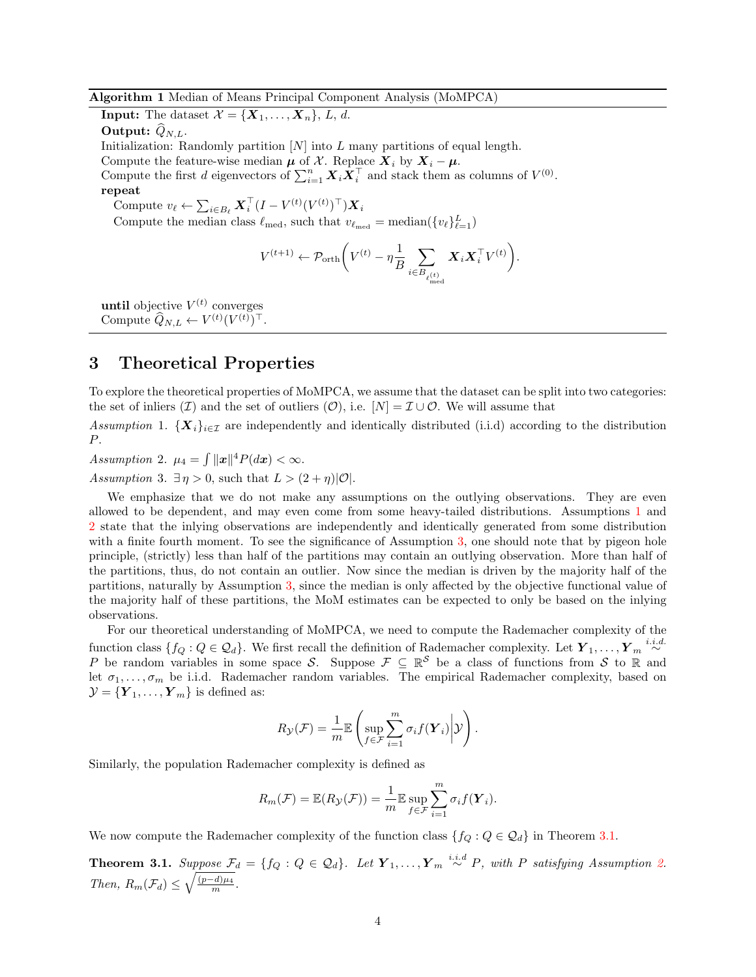<span id="page-3-1"></span>Algorithm 1 Median of Means Principal Component Analysis (MoMPCA)

**Input:** The dataset  $\mathcal{X} = {\mathbf{X}_1, \ldots, \mathbf{X}_n}$ , *L*, *d*.

Output:  $\ddot{Q}_{N,L}$ .

Initialization: Randomly partition  $[N]$  into L many partitions of equal length.

Compute the feature-wise median  $\mu$  of X. Replace  $X_i$  by  $X_i - \mu$ .

Compute the first d eigenvectors of  $\sum_{i=1}^{n} \boldsymbol{X}_i \boldsymbol{X}_i^{\top}$  and stack them as columns of  $V^{(0)}$ .

### repeat

Compute  $v_{\ell} \leftarrow \sum_{i \in B_{\ell}} \boldsymbol{X}_i^{\top} (I - V^{(t)} (V^{(t)})^{\top}) \boldsymbol{X}_i$ 

Compute the median class  $\ell_{\text{med}}$ , such that  $v_{\ell_{\text{med}}} = \text{median}({v_{\ell}})_{\ell=1}^L$ 

$$
V^{(t+1)} \leftarrow \mathcal{P}_{\operatorname{orth}}\bigg( V^{(t)} - \eta \frac{1}{B} \sum_{i \in B_{\ell_{\operatorname{med}}^{(t)}}} \boldsymbol{X}_i \boldsymbol{X}_i^\top V^{(t)} \bigg).
$$

**until** objective  $V^{(t)}$  converges Compute  $\widehat{Q}_{N,L} \leftarrow V^{(t)} (V^{(t)})^{\top}$ .

## <span id="page-3-0"></span>3 Theoretical Properties

To explore the theoretical properties of MoMPCA, we assume that the dataset can be split into two categories: the set of inliers  $(\mathcal{I})$  and the set of outliers  $(\mathcal{O})$ , i.e.  $[N] = \mathcal{I} \cup \mathcal{O}$ . We will assume that

<span id="page-3-2"></span>Assumption 1.  $\{X_i\}_{i\in\mathcal{I}}$  are independently and identically distributed (i.i.d) according to the distribution P.

<span id="page-3-3"></span>Assumption 2.  $\mu_4 = \int ||\boldsymbol{x}||^4 P(d\boldsymbol{x}) < \infty$ .

<span id="page-3-4"></span>Assumption 3.  $\exists \eta > 0$ , such that  $L > (2 + \eta)|\mathcal{O}|$ .

We emphasize that we do not make any assumptions on the outlying observations. They are even allowed to be dependent, and may even come from some heavy-tailed distributions. Assumptions [1](#page-3-2) and [2](#page-3-3) state that the inlying observations are independently and identically generated from some distribution with a finite fourth moment. To see the significance of Assumption [3,](#page-3-4) one should note that by pigeon hole principle, (strictly) less than half of the partitions may contain an outlying observation. More than half of the partitions, thus, do not contain an outlier. Now since the median is driven by the majority half of the partitions, naturally by Assumption [3,](#page-3-4) since the median is only affected by the objective functional value of the majority half of these partitions, the MoM estimates can be expected to only be based on the inlying observations.

For our theoretical understanding of MoMPCA, we need to compute the Rademacher complexity of the function class  $\{f_Q: Q \in \mathcal{Q}_d\}$ . We first recall the definition of Rademacher complexity. Let  $\boldsymbol{Y}_1, \ldots, \boldsymbol{Y}_m \stackrel{i.i.d.}{\sim}$ P be random variables in some space S. Suppose  $\mathcal{F} \subseteq \mathbb{R}^S$  be a class of functions from S to R and let  $\sigma_1, \ldots, \sigma_m$  be i.i.d. Rademacher random variables. The empirical Rademacher complexity, based on  $\mathcal{Y} = {\{\boldsymbol{Y}_1,\dots,\boldsymbol{Y}_m\}}$  is defined as:

$$
R_{\mathcal{Y}}(\mathcal{F}) = \frac{1}{m} \mathbb{E} \left( \sup_{f \in \mathcal{F}} \sum_{i=1}^{m} \sigma_i f(\boldsymbol{Y}_i) \middle| \mathcal{Y} \right).
$$

Similarly, the population Rademacher complexity is defined as

$$
R_m(\mathcal{F}) = \mathbb{E}(R_{\mathcal{Y}}(\mathcal{F})) = \frac{1}{m} \mathbb{E} \sup_{f \in \mathcal{F}} \sum_{i=1}^m \sigma_i f(\mathbf{Y}_i).
$$

We now compute the Rademacher complexity of the function class  ${f_Q : Q \in \mathcal{Q}_d}$  in Theorem [3.1.](#page-3-5)

<span id="page-3-5"></span>**Theorem 3.1.** Suppose  $\mathcal{F}_d = \{f_Q : Q \in \mathcal{Q}_d\}$ . Let  $\boldsymbol{Y}_1, \ldots, \boldsymbol{Y}_m \stackrel{i.i.d}{\sim} P$ , with P satisfying Assumption [2.](#page-3-3) Then,  $R_m(\mathcal{F}_d) \leq \sqrt{\frac{(p-d)\mu_4}{m}}$ .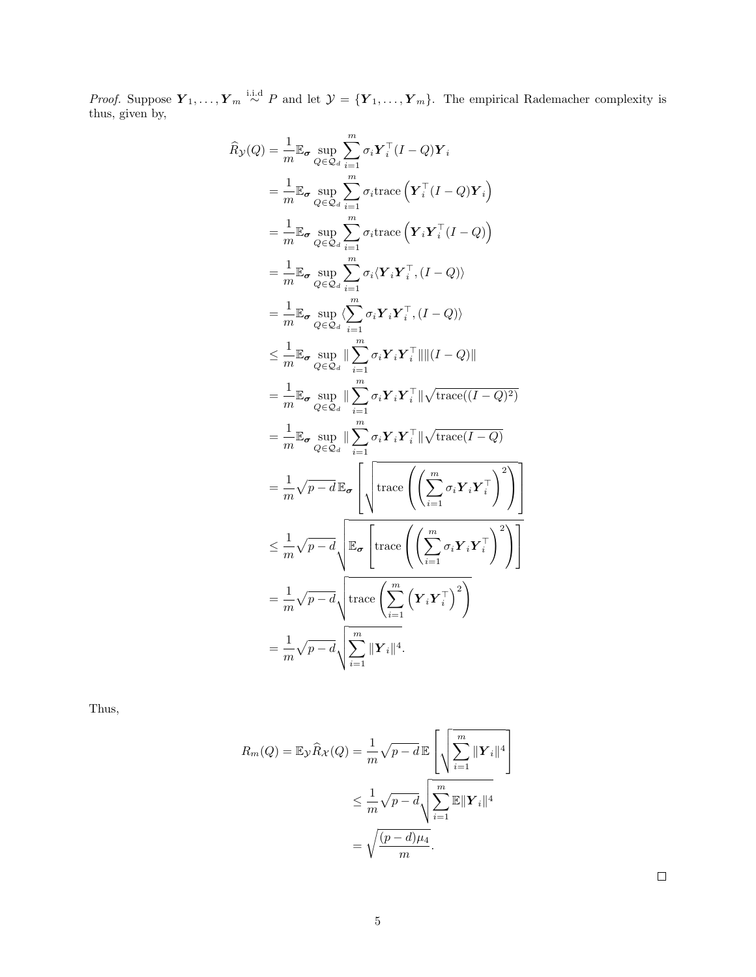*Proof.* Suppose  $Y_1, \ldots, Y_m \stackrel{\text{i.i.d}}{\sim} P$  and let  $\mathcal{Y} = \{Y_1, \ldots, Y_m\}$ . The empirical Rademacher complexity is thus, given by,

$$
\hat{R}_{\mathcal{Y}}(Q) = \frac{1}{m} \mathbb{E}_{\sigma} \sup_{Q \in \mathcal{Q}_{d}} \sum_{i=1}^{m} \sigma_{i} \mathbf{Y}_{i}^{\top} (I - Q) \mathbf{Y}_{i}
$$
\n
$$
= \frac{1}{m} \mathbb{E}_{\sigma} \sup_{Q \in \mathcal{Q}_{d}} \sum_{i=1}^{m} \sigma_{i} \text{trace} \left( \mathbf{Y}_{i}^{\top} (I - Q) \mathbf{Y}_{i} \right)
$$
\n
$$
= \frac{1}{m} \mathbb{E}_{\sigma} \sup_{Q \in \mathcal{Q}_{d}} \sum_{i=1}^{m} \sigma_{i} \text{trace} \left( \mathbf{Y}_{i} \mathbf{Y}_{i}^{\top} (I - Q) \right)
$$
\n
$$
= \frac{1}{m} \mathbb{E}_{\sigma} \sup_{Q \in \mathcal{Q}_{d}} \sum_{i=1}^{m} \sigma_{i} \langle \mathbf{Y}_{i} \mathbf{Y}_{i}^{\top}, (I - Q) \rangle
$$
\n
$$
= \frac{1}{m} \mathbb{E}_{\sigma} \sup_{Q \in \mathcal{Q}_{d}} \sum_{i=1}^{m} \sigma_{i} \mathbf{Y}_{i} \mathbf{Y}_{i}^{\top}, (I - Q) \rangle
$$
\n
$$
\leq \frac{1}{m} \mathbb{E}_{\sigma} \sup_{Q \in \mathcal{Q}_{d}} \|\sum_{i=1}^{m} \sigma_{i} \mathbf{Y}_{i} \mathbf{Y}_{i}^{\top} \| \| (I - Q) \|
$$
\n
$$
= \frac{1}{m} \mathbb{E}_{\sigma} \sup_{Q \in \mathcal{Q}_{d}} \|\sum_{i=1}^{m} \sigma_{i} \mathbf{Y}_{i} \mathbf{Y}_{i}^{\top} \| \sqrt{\text{trace}((I - Q)^{2})}
$$
\n
$$
= \frac{1}{m} \mathbb{E}_{\sigma} \sup_{Q \in \mathcal{Q}_{d}} \|\sum_{i=1}^{m} \sigma_{i} \mathbf{Y}_{i} \mathbf{Y}_{i}^{\top} \| \sqrt{\text{trace}((I - Q)^{2})}
$$
\n
$$
= \frac{1}{m} \sqrt{p - d} \mathbb{E}_{\sigma} \left[ \sqrt{\text{trace} \left( \left( \sum_{i
$$

1

1  $\overline{1}$ 

Thus,

$$
R_m(Q) = \mathbb{E}_{\mathcal{Y}} \widehat{R}_{\mathcal{X}}(Q) = \frac{1}{m} \sqrt{p - d} \mathbb{E} \left[ \sqrt{\sum_{i=1}^m ||\mathbf{Y}_i||^4} \right]
$$
  

$$
\leq \frac{1}{m} \sqrt{p - d} \sqrt{\sum_{i=1}^m \mathbb{E} ||\mathbf{Y}_i||^4}
$$
  

$$
= \sqrt{\frac{(p - d)\mu_4}{m}}.
$$

 $\Box$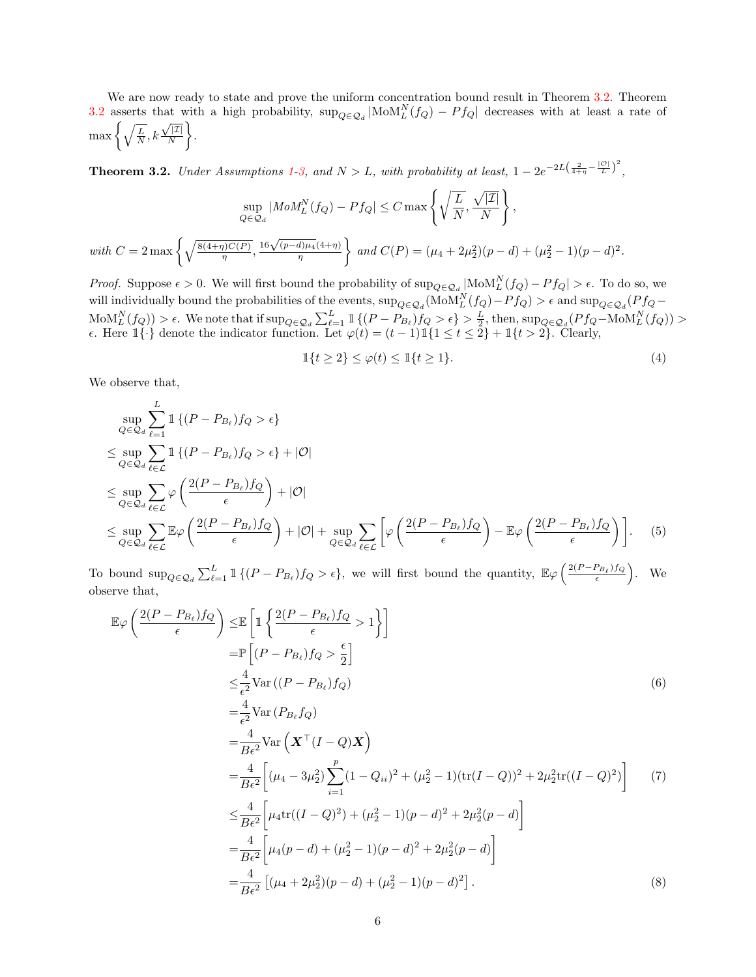We are now ready to state and prove the uniform concentration bound result in Theorem [3.2.](#page-5-0) Theorem [3.2](#page-5-0) asserts that with a high probability,  $\sup_{Q \in \mathcal{Q}_d} | \text{MoM}_L^N(f_Q) - Pf_Q |$  decreases with at least a rate of  $\max\left\{\sqrt{\frac{L}{N}}, k\frac{\sqrt{|\mathcal{I}|}}{N}\right\}$ N .

<span id="page-5-0"></span>**Theorem 3.2.** Under Assumptions [1](#page-3-2)[-3,](#page-3-4) and  $N > L$ , with probability at least,  $1 - 2e^{-2L(\frac{2}{4+\eta} - \frac{|\mathcal{O}|}{L})^2}$ ,

$$
\sup_{Q \in \mathcal{Q}_d} |MoM_L^N(f_Q) - Pf_Q| \le C \max \left\{ \sqrt{\frac{L}{N}}, \frac{\sqrt{|\mathcal{I}|}}{N} \right\},\
$$
  
with  $C = 2 \max \left\{ \sqrt{\frac{8(4+\eta)C(P)}{\eta}}, \frac{16\sqrt{(p-d)\mu_4}(4+\eta)}{\eta} \right\}$  and  $C(P) = (\mu_4 + 2\mu_2^2)(p-d) + (\mu_2^2 - 1)(p-d)$ 

*Proof.* Suppose  $\epsilon > 0$ . We will first bound the probability of  $\sup_{Q \in \mathcal{Q}_d} |\text{MoM}_L^N(f_Q) - Pf_Q| > \epsilon$ . To do so, we will individually bound the probabilities of the events,  $\sup_{Q\in\mathcal{Q}_d}(\text{MoM}_L^N(f_Q)-Pf_Q) > \epsilon$  and  $\sup_{Q\in\mathcal{Q}_d}(Pf_Q \text{MoM}_{L}^{N}(f_{Q})$ ) >  $\epsilon$ . We note that if  $\sup_{Q\in\mathcal{Q}_{d}}\sum_{\ell=1}^{L}\mathbbm{1}\{(P-P_{B_{\ell}})f_{Q}>\epsilon\} > \frac{L}{2}$ , then,  $\sup_{Q\in\mathcal{Q}_{d}}(Pf_{Q}-\text{MoM}_{L}^{N}(f_{Q})) >$  $\epsilon$ . Here  $1\{\cdot\}$  denote the indicator function. Let  $\varphi(t) = (t-1)1\{1 \le t \le 2\} + 1\{t > 2\}$ . Clearly,

$$
\mathbb{1}\{t \ge 2\} \le \varphi(t) \le \mathbb{1}\{t \ge 1\}.\tag{4}
$$

<span id="page-5-2"></span><span id="page-5-1"></span>2 .

We observe that,

$$
\sup_{Q \in \mathcal{Q}_d} \sum_{\ell=1}^L \mathbb{1}\left\{ (P - P_{B_\ell}) f_Q > \epsilon \right\}
$$
\n
$$
\leq \sup_{Q \in \mathcal{Q}_d} \sum_{\ell \in \mathcal{L}} \mathbb{1}\left\{ (P - P_{B_\ell}) f_Q > \epsilon \right\} + |\mathcal{O}|
$$
\n
$$
\leq \sup_{Q \in \mathcal{Q}_d} \sum_{\ell \in \mathcal{L}} \varphi \left( \frac{2(P - P_{B_\ell}) f_Q}{\epsilon} \right) + |\mathcal{O}|
$$
\n
$$
\leq \sup_{Q \in \mathcal{Q}_d} \sum_{\ell \in \mathcal{L}} \mathbb{E}\varphi \left( \frac{2(P - P_{B_\ell}) f_Q}{\epsilon} \right) + |\mathcal{O}| + \sup_{Q \in \mathcal{Q}_d} \sum_{\ell \in \mathcal{L}} \left[ \varphi \left( \frac{2(P - P_{B_\ell}) f_Q}{\epsilon} \right) - \mathbb{E}\varphi \left( \frac{2(P - P_{B_\ell}) f_Q}{\epsilon} \right) \right]. \tag{5}
$$

To bound  $\sup_{Q \in \mathcal{Q}_d} \sum_{\ell=1}^L \mathbb{1}\{(P - P_{B_\ell})f_Q > \epsilon\}$ , we will first bound the quantity,  $\mathbb{E}\varphi\left(\frac{2(P - P_{B_\ell})f_Q}{\epsilon}\right)$  $\frac{(P_{B_\ell})f_Q}{\epsilon}$ . We observe that,

$$
\mathbb{E}\varphi\left(\frac{2(P - P_{B_{\ell}})f_{Q}}{\epsilon}\right) \leq \mathbb{E}\left[\mathbb{1}\left\{\frac{2(P - P_{B_{\ell}})f_{Q}}{\epsilon} > 1\right\}\right]
$$
\n
$$
= \mathbb{P}\left[(P - P_{B_{\ell}})f_{Q} > \frac{\epsilon}{2}\right]
$$
\n
$$
\leq \frac{4}{\epsilon^{2}} \text{Var}\left((P - P_{B_{\ell}})f_{Q}\right)
$$
\n
$$
= \frac{4}{\epsilon^{2}} \text{Var}\left(P_{B_{\ell}}f_{Q}\right)
$$
\n
$$
= \frac{4}{B\epsilon^{2}} \text{Var}\left(\mathbf{X}^{\top}(I - Q)\mathbf{X}\right)
$$
\n
$$
= \frac{4}{B\epsilon^{2}}\left[(\mu_{4} - 3\mu_{2}^{2})\sum_{i=1}^{p}(1 - Q_{ii})^{2} + (\mu_{2}^{2} - 1)(\text{tr}(I - Q))^{2} + 2\mu_{2}^{2}\text{tr}((I - Q)^{2})\right] \tag{7}
$$
\n
$$
\leq \frac{4}{B\epsilon^{2}}\left[\mu_{4}\text{tr}((I - Q)^{2}) + (\mu_{2}^{2} - 1)(p - d)^{2} + 2\mu_{2}^{2}(p - d)\right]
$$
\n
$$
= \frac{4}{B\epsilon^{2}}\left[\mu_{4}(p - d) + (\mu_{2}^{2} - 1)(p - d)^{2} + 2\mu_{2}^{2}(p - d)\right]
$$
\n
$$
= \frac{4}{B\epsilon^{2}}\left[(\mu_{4} + 2\mu_{2}^{2})(p - d) + (\mu_{2}^{2} - 1)(p - d)^{2}\right].
$$
\n(8)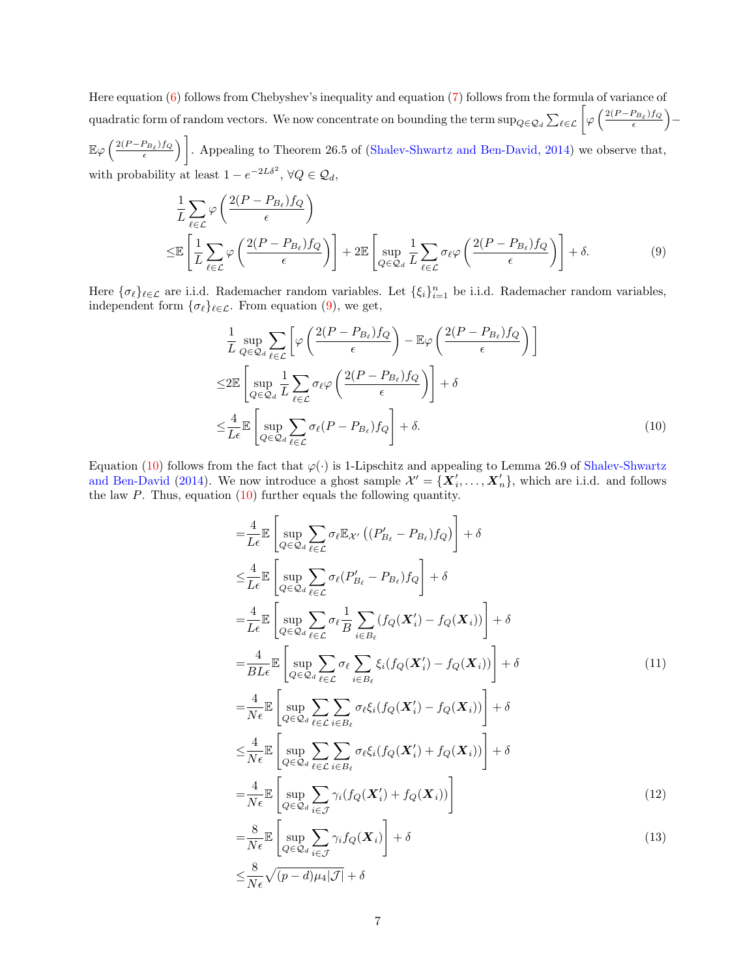Here equation [\(6\)](#page-5-1) follows from Chebyshev's inequality and equation [\(7\)](#page-5-2) follows from the formula of variance of quadratic form of random vectors. We now concentrate on bounding the term  $\sup_{Q\in\mathcal{Q}_d}\sum_{\ell\in\mathcal{L}}\left[\varphi\left(\frac{2(P-P_{B_\ell})f_Q}{\epsilon}\right)\right]$  $\frac{\left(P_{B_\ell}\right)f_Q}{\epsilon}$  ) –

 $\mathbb{E}\varphi\left(\frac{2(P-P_{B_\ell})f_Q}{\epsilon}\right)$  $\left(\frac{P_{B_\ell}/f_Q}{\epsilon}\right)$ . Appealing to Theorem 26.5 of [\(Shalev-Shwartz and Ben-David,](#page-12-14) [2014\)](#page-12-14) we observe that, with probability at least  $1 - e^{-2L\delta^2}$ ,  $\forall Q \in \mathcal{Q}_d$ ,

$$
\frac{1}{L} \sum_{\ell \in \mathcal{L}} \varphi \left( \frac{2(P - P_{B_{\ell}}) f_Q}{\epsilon} \right)
$$
\n
$$
\leq \mathbb{E} \left[ \frac{1}{L} \sum_{\ell \in \mathcal{L}} \varphi \left( \frac{2(P - P_{B_{\ell}}) f_Q}{\epsilon} \right) \right] + 2 \mathbb{E} \left[ \sup_{Q \in \mathcal{Q}_d} \frac{1}{L} \sum_{\ell \in \mathcal{L}} \sigma_{\ell} \varphi \left( \frac{2(P - P_{B_{\ell}}) f_Q}{\epsilon} \right) \right] + \delta. \tag{9}
$$

Here  $\{\sigma_\ell\}_{\ell \in \mathcal{L}}$  are i.i.d. Rademacher random variables. Let  $\{\xi_i\}_{i=1}^n$  be i.i.d. Rademacher random variables, independent form  $\{\sigma_{\ell}\}_{{\ell \in \mathcal{L}}}$ . From equation [\(9\)](#page-6-0), we get,

<span id="page-6-0"></span>
$$
\frac{1}{L} \sup_{Q \in \mathcal{Q}_d} \sum_{\ell \in \mathcal{L}} \left[ \varphi \left( \frac{2(P - P_{B_\ell}) f_Q}{\epsilon} \right) - \mathbb{E} \varphi \left( \frac{2(P - P_{B_\ell}) f_Q}{\epsilon} \right) \right]
$$
\n
$$
\leq 2 \mathbb{E} \left[ \sup_{Q \in \mathcal{Q}_d} \frac{1}{L} \sum_{\ell \in \mathcal{L}} \sigma_\ell \varphi \left( \frac{2(P - P_{B_\ell}) f_Q}{\epsilon} \right) \right] + \delta
$$
\n
$$
\leq \frac{4}{L \epsilon} \mathbb{E} \left[ \sup_{Q \in \mathcal{Q}_d} \sum_{\ell \in \mathcal{L}} \sigma_\ell (P - P_{B_\ell}) f_Q \right] + \delta. \tag{10}
$$

Equation [\(10\)](#page-6-1) follows from the fact that  $\varphi(\cdot)$  is 1-Lipschitz and appealing to Lemma 26.9 of [Shalev-Shwartz](#page-12-14) [and Ben-David](#page-12-14) [\(2014\)](#page-12-14). We now introduce a ghost sample  $\mathcal{X}' = \{X'_i, \ldots, X'_n\}$ , which are i.i.d. and follows the law  $P$ . Thus, equation  $(10)$  further equals the following quantity.

<span id="page-6-2"></span><span id="page-6-1"></span>
$$
\begin{split}\n&=\frac{4}{L\epsilon}\mathbb{E}\left[\sup_{Q\in\mathcal{Q}_{d}}\sum_{\ell\in\mathcal{L}}\sigma_{\ell}\mathbb{E}_{\mathcal{X}'}\left((P'_{B_{\ell}}-P_{B_{\ell}})f_{Q}\right)\right]+\delta \\
&\leq\frac{4}{L\epsilon}\mathbb{E}\left[\sup_{Q\in\mathcal{Q}_{d}}\sum_{\ell\in\mathcal{L}}\sigma_{\ell}(P'_{B_{\ell}}-P_{B_{\ell}})f_{Q}\right]+\delta \\
&=\frac{4}{L\epsilon}\mathbb{E}\left[\sup_{Q\in\mathcal{Q}_{d}}\sum_{\ell\in\mathcal{L}}\sigma_{\ell}\frac{1}{B}\sum_{i\in B_{\ell}}\left(f_{Q}(\mathbf{X}'_{i})-f_{Q}(\mathbf{X}_{i})\right)\right]+\delta \\
&=\frac{4}{BL\epsilon}\mathbb{E}\left[\sup_{Q\in\mathcal{Q}_{d}}\sum_{\ell\in\mathcal{L}}\sigma_{\ell}\sum_{i\in B_{\ell}}\xi_{i}\left(f_{Q}(\mathbf{X}'_{i})-f_{Q}(\mathbf{X}_{i})\right)\right]+\delta \\
&=\frac{4}{N\epsilon}\mathbb{E}\left[\sup_{Q\in\mathcal{Q}_{d}}\sum_{\ell\in\mathcal{L}}\sum_{i\in B_{\ell}}\sigma_{\ell}\xi_{i}\left(f_{Q}(\mathbf{X}'_{i})-f_{Q}(\mathbf{X}_{i})\right)\right]+\delta \\
&\leq\frac{4}{N\epsilon}\mathbb{E}\left[\sup_{Q\in\mathcal{Q}_{d}}\sum_{\ell\in\mathcal{L}}\sum_{i\in B_{\ell}}\sigma_{\ell}\xi_{i}\left(f_{Q}(\mathbf{X}'_{i})+f_{Q}(\mathbf{X}_{i})\right)\right]+\delta \\
&=\frac{4}{N\epsilon}\mathbb{E}\left[\sup_{Q\in\mathcal{Q}_{d}}\sum_{i\in\mathcal{J}}\gamma_{i}\left(f_{Q}(\mathbf{X}'_{i})+f_{Q}(\mathbf{X}_{i})\right)\right]\n\end{split} \tag{12}
$$

<span id="page-6-4"></span><span id="page-6-3"></span>
$$
=\frac{1}{N\epsilon} \left[ \sup_{Q \in \mathcal{Q}_d} \sum_{i \in \mathcal{J}} \gamma_i J_Q(\mathbf{\Lambda}_i) \right] + \delta
$$
\n
$$
\leq \frac{8}{N\epsilon} \sqrt{(p-d)\mu_4 |\mathcal{J}|} + \delta
$$
\n(15)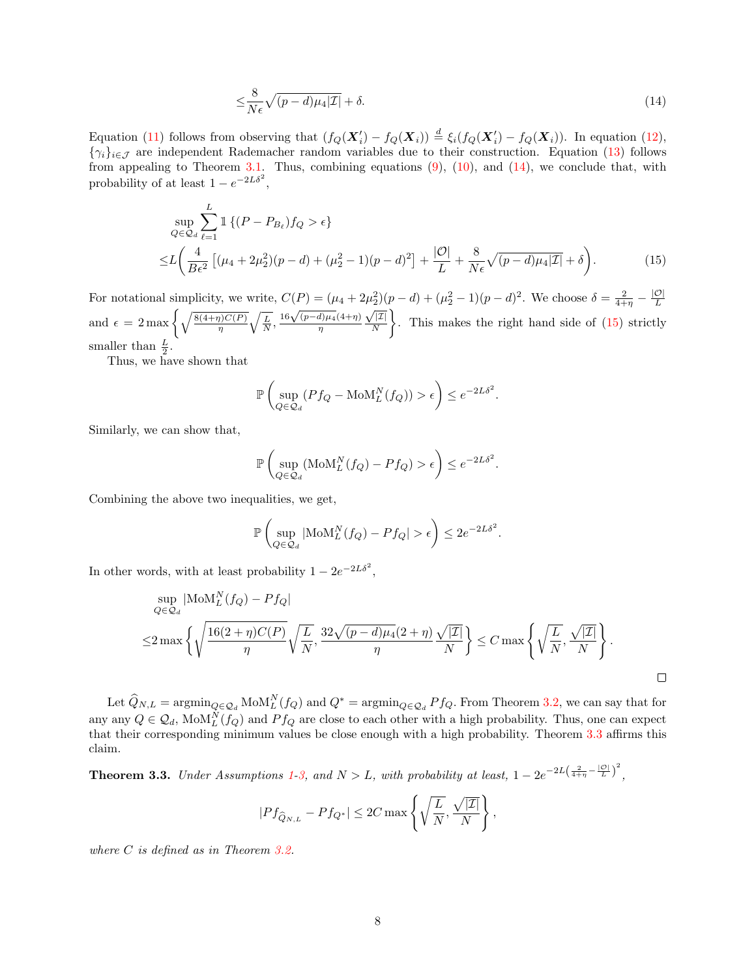<span id="page-7-0"></span>
$$
\leq \frac{8}{N\epsilon}\sqrt{(p-d)\mu_4|\mathcal{I}|} + \delta. \tag{14}
$$

Equation [\(11\)](#page-6-2) follows from observing that  $(f_Q(\mathbf{X}'_i) - f_Q(\mathbf{X}_i)) \stackrel{d}{=} \xi_i(f_Q(\mathbf{X}'_i) - f_Q(\mathbf{X}_i))$ . In equation [\(12\)](#page-6-3),  $\{\gamma_i\}_{i\in\mathcal{J}}$  are independent Rademacher random variables due to their construction. Equation [\(13\)](#page-6-4) follows from appealing to Theorem [3.1.](#page-3-5) Thus, combining equations  $(9)$ ,  $(10)$ , and  $(14)$ , we conclude that, with probability of at least  $1 - e^{-2L\delta^2}$ ,

$$
\sup_{Q \in \mathcal{Q}_d} \sum_{\ell=1}^L \mathbb{1} \left\{ (P - P_{B_\ell}) f_Q > \epsilon \right\}
$$
\n
$$
\leq L \left( \frac{4}{B \epsilon^2} \left[ (\mu_4 + 2\mu_2^2)(p - d) + (\mu_2^2 - 1)(p - d)^2 \right] + \frac{|\mathcal{O}|}{L} + \frac{8}{N \epsilon} \sqrt{(p - d)\mu_4 |\mathcal{I}|} + \delta \right). \tag{15}
$$

For notational simplicity, we write,  $C(P) = (\mu_4 + 2\mu_2^2)(p - d) + (\mu_2^2 - 1)(p - d)^2$ . We choose  $\delta = \frac{2}{4+\eta} - \frac{|\mathcal{O}|}{L}$ and  $\epsilon = 2 \max \left\{ \sqrt{\frac{8(4+\eta)C(P)}{\eta}} \sqrt{\frac{L}{N}}, \frac{16\sqrt{(p-d)\mu_4}(4+\eta)}{\eta} \frac{\sqrt{|Z|}}{N} \right\}.$  This makes the right hand side of (15) strictly η  $\sqrt{|\mathcal{I}|}$ N . This makes the right hand side of [\(15\)](#page-7-1) strictly smaller than  $\frac{L}{2}$ .

Thus, we have shown that

<span id="page-7-1"></span>
$$
\mathbb{P}\left(\sup_{Q\in\mathcal{Q}_d} (Pf_Q - \text{MoM}_L^N(f_Q)) > \epsilon\right) \leq e^{-2L\delta^2}.
$$

Similarly, we can show that,

$$
\mathbb{P}\left(\sup_{Q\in\mathcal{Q}_d}(\text{MoM}_L^N(f_Q)-Pf_Q)>\epsilon\right)\leq e^{-2L\delta^2}.
$$

Combining the above two inequalities, we get,

$$
\mathbb{P}\left(\sup_{Q\in\mathcal{Q}_d}|\text{MoM}_L^N(f_Q)-Pf_Q|>\epsilon\right)\leq 2e^{-2L\delta^2}.
$$

In other words, with at least probability  $1 - 2e^{-2L\delta^2}$ ,

$$
\sup_{Q \in \mathcal{Q}_d} |\text{MoM}_L^N(f_Q) - Pf_Q|
$$
  

$$
\leq 2 \max \left\{ \sqrt{\frac{16(2+\eta)C(P)}{\eta}} \sqrt{\frac{L}{N}}, \frac{32\sqrt{(p-d)\mu_4}(2+\eta)}{\eta} \frac{\sqrt{|\mathcal{I}|}}{N} \right\} \leq C \max \left\{ \sqrt{\frac{L}{N}}, \frac{\sqrt{|\mathcal{I}|}}{N} \right\}.
$$

 $\Box$ 

Let  $\widehat{Q}_{N,L} = \operatorname{argmin}_{Q \in \mathcal{Q}_d} \text{MoM}_L^N(f_Q)$  and  $Q^* = \operatorname{argmin}_{Q \in \mathcal{Q}_d} Pf_Q$ . From Theorem [3.2,](#page-5-0) we can say that for any any  $Q \in \mathcal{Q}_d$ ,  $\text{MoM}_L^N(f_Q)$  and  $Pf_Q$  are close to each other with a high probability. Thus, one can expect that their corresponding minimum values be close enough with a high probability. Theorem [3.3](#page-7-2) affirms this claim.

<span id="page-7-2"></span>**Theorem 3.3.** Under Assumptions [1](#page-3-2)[-3,](#page-3-4) and  $N > L$ , with probability at least,  $1 - 2e^{-2L(\frac{2}{4+\eta} - \frac{|\mathcal{O}|}{L})^2}$ ,

$$
|Pf_{\widehat{Q}_{N,L}} - Pf_{Q^*}| \leq 2C \max\left\{\sqrt{\frac{L}{N}}, \frac{\sqrt{|\mathcal{I}|}}{N}\right\},\,
$$

where C is defined as in Theorem [3.2.](#page-5-0)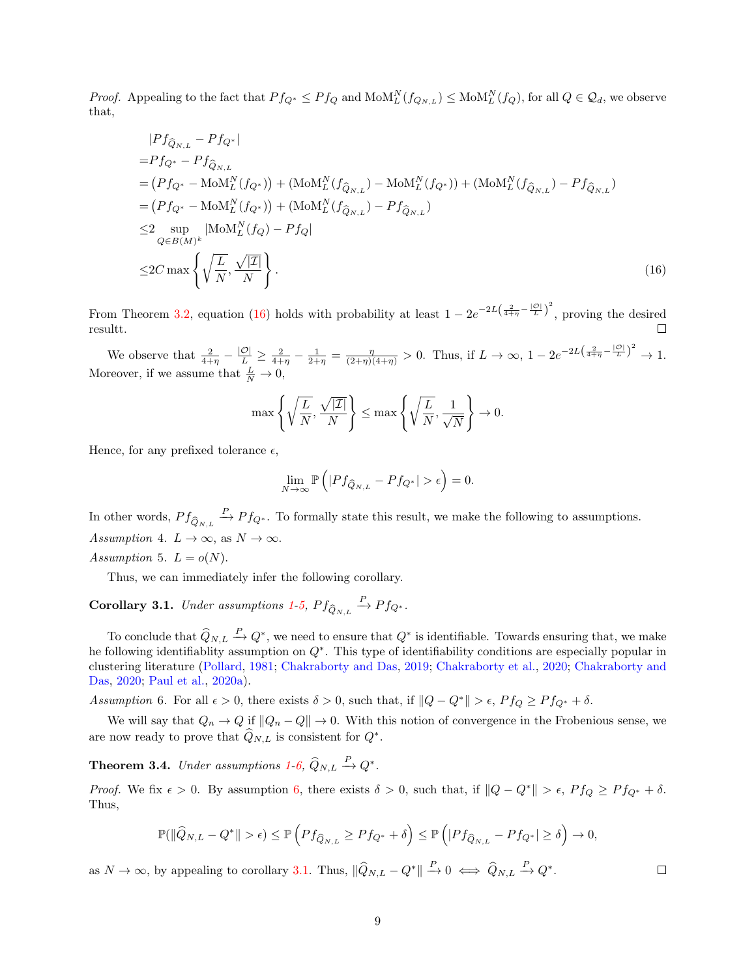*Proof.* Appealing to the fact that  $P f_{Q^*} \leq P f_Q$  and  $M_1^N(f_{Q_{N,L}}) \leq M_1^N(f_Q)$ , for all  $Q \in \mathcal{Q}_d$ , we observe that,

$$
|Pf_{\hat{Q}_{N,L}} - Pf_{Q^*}|
$$
  
\n
$$
= Pf_{Q^*} - Pf_{\hat{Q}_{N,L}}
$$
  
\n
$$
= (Pf_{Q^*} - \text{MoM}_L^N(f_{Q^*})) + (\text{MoM}_L^N(f_{\hat{Q}_{N,L}}) - \text{MoM}_L^N(f_{Q^*})) + (\text{MoM}_L^N(f_{\hat{Q}_{N,L}}) - Pf_{\hat{Q}_{N,L}})
$$
  
\n
$$
= (Pf_{Q^*} - \text{MoM}_L^N(f_{Q^*})) + (\text{MoM}_L^N(f_{\hat{Q}_{N,L}}) - Pf_{\hat{Q}_{N,L}})
$$
  
\n
$$
\leq 2 \sup_{Q \in B(M)^k} |\text{MoM}_L^N(f_Q) - Pf_Q|
$$
  
\n
$$
\leq 2C \max \left\{ \sqrt{\frac{L}{N}}, \frac{\sqrt{|I|}}{N} \right\}.
$$
\n(16)

From Theorem [3.2,](#page-5-0) equation [\(16\)](#page-8-0) holds with probability at least  $1 - 2e^{-2L(\frac{2}{4+\eta}-\frac{|\mathcal{O}|}{L})^2}$ , proving the desired resultt.

We observe that  $\frac{2}{4+\eta} - \frac{|\mathcal{O}|}{L} \ge \frac{2}{4+\eta} - \frac{1}{2+\eta} = \frac{\eta}{(2+\eta)(4+\eta)} > 0$ . Thus, if  $L \to \infty$ ,  $1 - 2e^{-2L(\frac{2}{4+\eta} - \frac{|\mathcal{O}|}{L})^2} \to 1$ . Moreover, if we assume that  $\frac{L}{N} \to 0$ ,

<span id="page-8-0"></span>
$$
\max\left\{\sqrt{\frac{L}{N}},\frac{\sqrt{|\mathcal{I}|}}{N}\right\} \le \max\left\{\sqrt{\frac{L}{N}},\frac{1}{\sqrt{N}}\right\} \to 0.
$$

Hence, for any prefixed tolerance  $\epsilon$ ,

$$
\lim_{N \to \infty} \mathbb{P}\left( |P f_{\widehat{Q}_{N,L}} - P f_{Q^*}| > \epsilon \right) = 0.
$$

In other words,  $P f_{\hat{Q}_{N,L}} \stackrel{P}{\to} P f_{Q^*}$ . To formally state this result, we make the following to assumptions. Assumption 4.  $L \to \infty$ , as  $N \to \infty$ .

<span id="page-8-1"></span>Assumption 5.  $L = o(N)$ .

Thus, we can immediately infer the following corollary.

# <span id="page-8-3"></span>**Corollary 3.1.** Under assumptions [1-](#page-3-2)[5,](#page-8-1)  $Pf_{\hat{Q}_{N,L}} \stackrel{P}{\rightarrow} Pf_{Q^*}.$

To conclude that  $\widehat{Q}_{N,L} \stackrel{P}{\rightarrow} Q^*$ , we need to ensure that  $Q^*$  is identifiable. Towards ensuring that, we make he following identifiablity assumption on Q<sup>∗</sup> . This type of identifiability conditions are especially popular in clustering literature [\(Pollard,](#page-12-15) [1981;](#page-12-15) [Chakraborty and Das,](#page-11-6) [2019;](#page-11-6) [Chakraborty et al.,](#page-11-7) [2020;](#page-11-7) [Chakraborty and](#page-11-8) [Das,](#page-11-8) [2020;](#page-11-8) [Paul et al.,](#page-12-16) [2020a\)](#page-12-16).

<span id="page-8-2"></span>Assumption 6. For all  $\epsilon > 0$ , there exists  $\delta > 0$ , such that, if  $||Q - Q^*|| > \epsilon$ ,  $P f_Q \geq P f_{Q^*} + \delta$ .

We will say that  $Q_n \to Q$  if  $||Q_n - Q|| \to 0$ . With this notion of convergence in the Frobenious sense, we are now ready to prove that  $\hat{Q}_{N,L}$  is consistent for  $Q^*$ .

**Theorem 3.4.** Under assumptions [1-](#page-3-2)[6,](#page-8-2)  $\hat{Q}_{N,L} \stackrel{P}{\rightarrow} Q^*$ .

Proof. We fix  $\epsilon > 0$ . By assumption [6,](#page-8-2) there exists  $\delta > 0$ , such that, if  $||Q - Q^*|| > \epsilon$ ,  $Pf_Q \geq Pf_{Q^*} + \delta$ . Thus,

$$
\mathbb{P}(\|\widehat{Q}_{N,L} - Q^*\| > \epsilon) \le \mathbb{P}\left(Pf_{\widehat{Q}_{N,L}} \ge Pf_{Q^*} + \delta\right) \le \mathbb{P}\left(|Pf_{\widehat{Q}_{N,L}} - Pf_{Q^*}| \ge \delta\right) \to 0,
$$

as  $N \to \infty$ , by appealing to corollary [3.1.](#page-8-3) Thus,  $\|\widehat{Q}_{N,L} - Q^*\| \stackrel{P}{\to} 0 \iff \widehat{Q}_{N,L} \stackrel{P}{\to} Q^*.$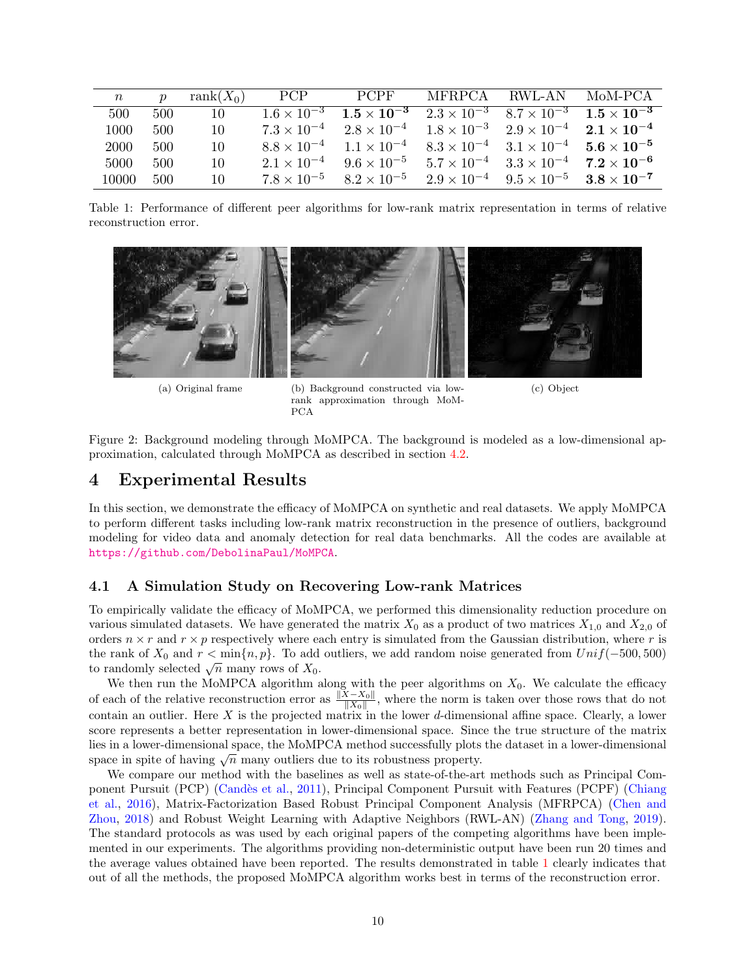| $\, n$ | $\boldsymbol{p}$ | $rank(X_0)$ | <b>PCP</b>           | <b>PCPF</b>                                                                                              | MFRPCA RWL-AN                                                  |                                                                | $M_0M$ -PCA |
|--------|------------------|-------------|----------------------|----------------------------------------------------------------------------------------------------------|----------------------------------------------------------------|----------------------------------------------------------------|-------------|
| 500    | 500              | 10          |                      | $1.6 \times 10^{-3}$ $1.5 \times 10^{-3}$ $2.3 \times 10^{-3}$ $8.7 \times 10^{-3}$ $1.5 \times 10^{-3}$ |                                                                |                                                                |             |
| 1000   | 500              | 10          | $7.3 \times 10^{-4}$ | $2.8 \times 10^{-4}$ $1.8 \times 10^{-3}$ $2.9 \times 10^{-4}$ $2.1 \times 10^{-4}$                      |                                                                |                                                                |             |
| 2000   | 500              | 10          | $8.8 \times 10^{-4}$ | $1.1 \times 10^{-4}$                                                                                     | $8.3 \times 10^{-4}$ $3.1 \times 10^{-4}$ $5.6 \times 10^{-5}$ |                                                                |             |
| 5000   | 500              | 10          | $2.1 \times 10^{-4}$ | $9.6 \times 10^{-5}$                                                                                     |                                                                | $5.7 \times 10^{-4}$ $3.3 \times 10^{-4}$ $7.2 \times 10^{-6}$ |             |
| 10000  | 500              | 10          | $7.8 \times 10^{-5}$ | $8.2 \times 10^{-5}$                                                                                     |                                                                | $2.9 \times 10^{-4}$ $9.5 \times 10^{-5}$ $3.8 \times 10^{-7}$ |             |

<span id="page-9-1"></span>Table 1: Performance of different peer algorithms for low-rank matrix representation in terms of relative reconstruction error.



<span id="page-9-2"></span>

(a) Original frame (b) Background constructed via lowrank approximation through MoM-PCA

(c) Object

Figure 2: Background modeling through MoMPCA. The background is modeled as a low-dimensional approximation, calculated through MoMPCA as described in section [4.2.](#page-10-0)

## <span id="page-9-0"></span>4 Experimental Results

In this section, we demonstrate the efficacy of MoMPCA on synthetic and real datasets. We apply MoMPCA to perform different tasks including low-rank matrix reconstruction in the presence of outliers, background modeling for video data and anomaly detection for real data benchmarks. All the codes are available at <https://github.com/DebolinaPaul/MoMPCA>.

### 4.1 A Simulation Study on Recovering Low-rank Matrices

To empirically validate the efficacy of MoMPCA, we performed this dimensionality reduction procedure on various simulated datasets. We have generated the matrix  $X_0$  as a product of two matrices  $X_{1,0}$  and  $X_{2,0}$  of orders  $n \times r$  and  $r \times p$  respectively where each entry is simulated from the Gaussian distribution, where r is the rank of  $X_0$  and  $r < \min\{n, p\}$ . To add outliers, we add random noise generated from  $Unif(-500, 500)$ the rank of  $X_0$  and  $r < \min\{n, p\}$ . To add<br>to randomly selected  $\sqrt{n}$  many rows of  $X_0$ .

We then run the MoMPCA algorithm along with the peer algorithms on  $X_0$ . We calculate the efficacy of each of the relative reconstruction error as  $\frac{\|X-X_0\|}{\|X_0\|}$ , where the norm is taken over those rows that do not contain an outlier. Here  $X$  is the projected matrix in the lower d-dimensional affine space. Clearly, a lower score represents a better representation in lower-dimensional space. Since the true structure of the matrix lies in a lower-dimensional space, the MoMPCA method successfully plots the dataset in a lower-dimensional space in spite of having  $\sqrt{n}$  many outliers due to its robustness property.

We compare our method with the baselines as well as state-of-the-art methods such as Principal Com-ponent Pursuit (PCP) (Candès et al., [2011\)](#page-11-0), Principal Component Pursuit with Features (PCPF) [\(Chiang](#page-12-9) [et al.,](#page-12-9) [2016\)](#page-12-9), Matrix-Factorization Based Robust Principal Component Analysis (MFRPCA) [\(Chen and](#page-11-9) [Zhou,](#page-11-9) [2018\)](#page-11-9) and Robust Weight Learning with Adaptive Neighbors (RWL-AN) [\(Zhang and Tong,](#page-12-5) [2019\)](#page-12-5). The standard protocols as was used by each original papers of the competing algorithms have been implemented in our experiments. The algorithms providing non-deterministic output have been run 20 times and the average values obtained have been reported. The results demonstrated in table [1](#page-9-1) clearly indicates that out of all the methods, the proposed MoMPCA algorithm works best in terms of the reconstruction error.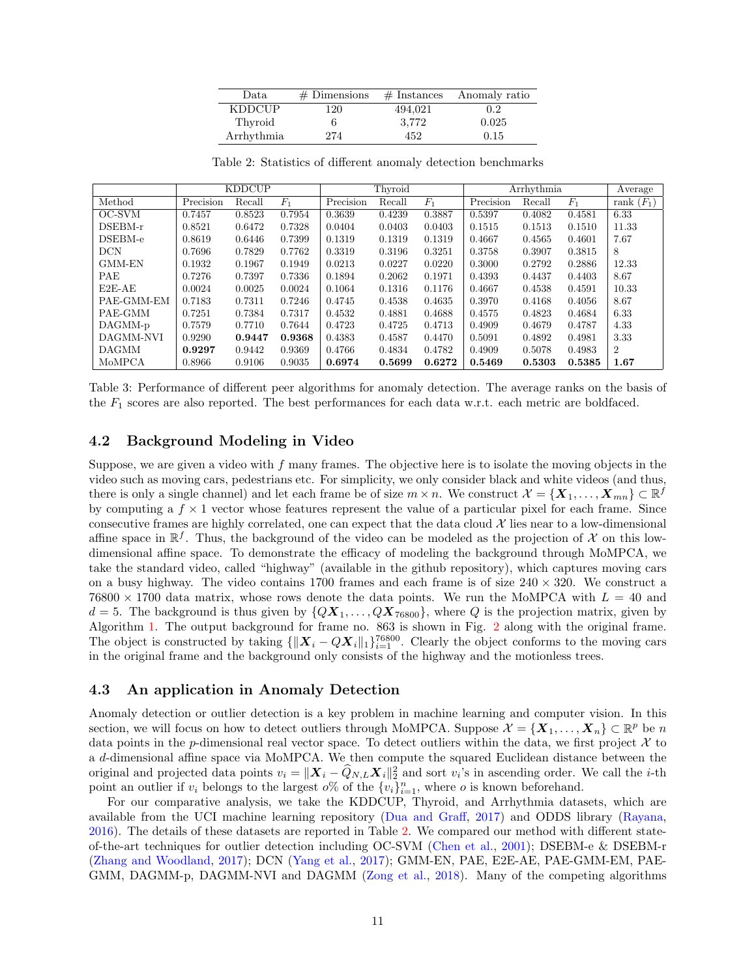| Data          | $#$ Dimensions | $#$ Instances | Anomaly ratio |
|---------------|----------------|---------------|---------------|
| <b>KDDCUP</b> | 120            | 494,021       | 0.2           |
| Thyroid       |                | 3,772         | 0.025         |
| Arrhythmia    | 274            | 452           | 0.15          |

<span id="page-10-1"></span>Table 2: Statistics of different anomaly detection benchmarks

|               | <b>KDDCUP</b> |        |        | Thyroid   |        |        | Arrhythmia |        |        | Average           |
|---------------|---------------|--------|--------|-----------|--------|--------|------------|--------|--------|-------------------|
| Method        | Precision     | Recall | $F_1$  | Precision | Recall | $F_1$  | Precision  | Recall | $F_1$  | $(F_1)$<br>rank ( |
| OC-SVM        | 0.7457        | 0.8523 | 0.7954 | 0.3639    | 0.4239 | 0.3887 | 0.5397     | 0.4082 | 0.4581 | 6.33              |
| DSEBM-r       | 0.8521        | 0.6472 | 0.7328 | 0.0404    | 0.0403 | 0.0403 | 0.1515     | 0.1513 | 0.1510 | 11.33             |
| DSEBM-e       | 0.8619        | 0.6446 | 0.7399 | 0.1319    | 0.1319 | 0.1319 | 0.4667     | 0.4565 | 0.4601 | 7.67              |
| <b>DCN</b>    | 0.7696        | 0.7829 | 0.7762 | 0.3319    | 0.3196 | 0.3251 | 0.3758     | 0.3907 | 0.3815 | 8                 |
| <b>GMM-EN</b> | 0.1932        | 0.1967 | 0.1949 | 0.0213    | 0.0227 | 0.0220 | 0.3000     | 0.2792 | 0.2886 | 12.33             |
| PAE           | 0.7276        | 0.7397 | 0.7336 | 0.1894    | 0.2062 | 0.1971 | 0.4393     | 0.4437 | 0.4403 | 8.67              |
| E2E-AE        | 0.0024        | 0.0025 | 0.0024 | 0.1064    | 0.1316 | 0.1176 | 0.4667     | 0.4538 | 0.4591 | 10.33             |
| PAE-GMM-EM    | 0.7183        | 0.7311 | 0.7246 | 0.4745    | 0.4538 | 0.4635 | 0.3970     | 0.4168 | 0.4056 | 8.67              |
| PAE-GMM       | 0.7251        | 0.7384 | 0.7317 | 0.4532    | 0.4881 | 0.4688 | 0.4575     | 0.4823 | 0.4684 | 6.33              |
| DAGMM-p       | 0.7579        | 0.7710 | 0.7644 | 0.4723    | 0.4725 | 0.4713 | 0.4909     | 0.4679 | 0.4787 | 4.33              |
| DAGMM-NVI     | 0.9290        | 0.9447 | 0.9368 | 0.4383    | 0.4587 | 0.4470 | 0.5091     | 0.4892 | 0.4981 | 3.33              |
| <b>DAGMM</b>  | 0.9297        | 0.9442 | 0.9369 | 0.4766    | 0.4834 | 0.4782 | 0.4909     | 0.5078 | 0.4983 | $\overline{2}$    |
| MoMPCA        | 0.8966        | 0.9106 | 0.9035 | 0.6974    | 0.5699 | 0.6272 | 0.5469     | 0.5303 | 0.5385 | 1.67              |

<span id="page-10-2"></span>Table 3: Performance of different peer algorithms for anomaly detection. The average ranks on the basis of the  $F_1$  scores are also reported. The best performances for each data w.r.t. each metric are boldfaced.

### <span id="page-10-0"></span>4.2 Background Modeling in Video

Suppose, we are given a video with  $f$  many frames. The objective here is to isolate the moving objects in the video such as moving cars, pedestrians etc. For simplicity, we only consider black and white videos (and thus, there is only a single channel) and let each frame be of size  $m \times n$ . We construct  $\mathcal{X} = \{ \boldsymbol{X}_1, \dots, \boldsymbol{X}_{mn} \} \subset \mathbb{R}^f$ by computing a  $f \times 1$  vector whose features represent the value of a particular pixel for each frame. Since consecutive frames are highly correlated, one can expect that the data cloud  $\mathcal X$  lies near to a low-dimensional affine space in  $\mathbb{R}^f$ . Thus, the background of the video can be modeled as the projection of X on this lowdimensional affine space. To demonstrate the efficacy of modeling the background through MoMPCA, we take the standard video, called "highway" (available in the github repository), which captures moving cars on a busy highway. The video contains 1700 frames and each frame is of size  $240 \times 320$ . We construct a  $76800 \times 1700$  data matrix, whose rows denote the data points. We run the MoMPCA with  $L = 40$  and  $d = 5$ . The background is thus given by  $\{Q\mathbf{X}_1, \ldots, Q\mathbf{X}_{76800}\}\$ , where Q is the projection matrix, given by Algorithm [1.](#page-3-1) The output background for frame no. 863 is shown in Fig. [2](#page-9-2) along with the original frame. The object is constructed by taking  $\{\|X_i - QX_i\|_1\}_{i=1}^{76800}$ . Clearly the object conforms to the moving cars in the original frame and the background only consists of the highway and the motionless trees.

### 4.3 An application in Anomaly Detection

Anomaly detection or outlier detection is a key problem in machine learning and computer vision. In this section, we will focus on how to detect outliers through MoMPCA. Suppose  $\mathcal{X} = \{X_1, \ldots, X_n\} \subset \mathbb{R}^p$  be n data points in the p-dimensional real vector space. To detect outliers within the data, we first project  $\mathcal X$  to a d-dimensional affine space via MoMPCA. We then compute the squared Euclidean distance between the original and projected data points  $v_i = ||\boldsymbol{X}_i - \widehat{Q}_{N,L} \boldsymbol{X}_i||_2^2$  and sort  $v_i$ 's in ascending order. We call the *i*-th point an outlier if  $v_i$  belongs to the largest  $o\%$  of the  $\{v_i\}_{i=1}^n$ , where  $o$  is known beforehand.

For our comparative analysis, we take the KDDCUP, Thyroid, and Arrhythmia datasets, which are available from the UCI machine learning repository [\(Dua and Graff,](#page-12-17) [2017\)](#page-12-17) and ODDS library [\(Rayana,](#page-12-18) [2016\)](#page-12-18). The details of these datasets are reported in Table [2.](#page-10-1) We compared our method with different stateof-the-art techniques for outlier detection including OC-SVM [\(Chen et al.,](#page-11-10) [2001\)](#page-11-10); DSEBM-e & DSEBM-r [\(Zhang and Woodland,](#page-12-19) [2017\)](#page-12-19); DCN [\(Yang et al.,](#page-12-20) [2017\)](#page-12-20); GMM-EN, PAE, E2E-AE, PAE-GMM-EM, PAE-GMM, DAGMM-p, DAGMM-NVI and DAGMM [\(Zong et al.,](#page-13-1) [2018\)](#page-13-1). Many of the competing algorithms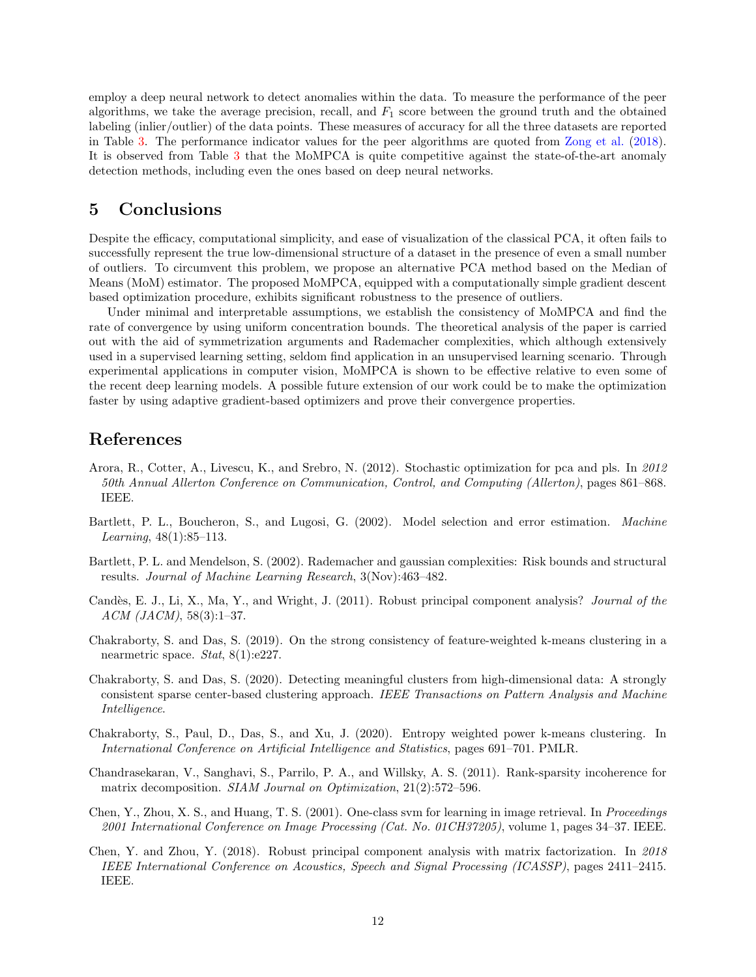employ a deep neural network to detect anomalies within the data. To measure the performance of the peer algorithms, we take the average precision, recall, and  $F_1$  score between the ground truth and the obtained labeling (inlier/outlier) of the data points. These measures of accuracy for all the three datasets are reported in Table [3.](#page-10-2) The performance indicator values for the peer algorithms are quoted from [Zong et al.](#page-13-1) [\(2018\)](#page-13-1). It is observed from Table [3](#page-10-2) that the MoMPCA is quite competitive against the state-of-the-art anomaly detection methods, including even the ones based on deep neural networks.

## <span id="page-11-4"></span>5 Conclusions

Despite the efficacy, computational simplicity, and ease of visualization of the classical PCA, it often fails to successfully represent the true low-dimensional structure of a dataset in the presence of even a small number of outliers. To circumvent this problem, we propose an alternative PCA method based on the Median of Means (MoM) estimator. The proposed MoMPCA, equipped with a computationally simple gradient descent based optimization procedure, exhibits significant robustness to the presence of outliers.

Under minimal and interpretable assumptions, we establish the consistency of MoMPCA and find the rate of convergence by using uniform concentration bounds. The theoretical analysis of the paper is carried out with the aid of symmetrization arguments and Rademacher complexities, which although extensively used in a supervised learning setting, seldom find application in an unsupervised learning scenario. Through experimental applications in computer vision, MoMPCA is shown to be effective relative to even some of the recent deep learning models. A possible future extension of our work could be to make the optimization faster by using adaptive gradient-based optimizers and prove their convergence properties.

## References

- <span id="page-11-5"></span>Arora, R., Cotter, A., Livescu, K., and Srebro, N. (2012). Stochastic optimization for pca and pls. In 2012 50th Annual Allerton Conference on Communication, Control, and Computing (Allerton), pages 861–868. IEEE.
- <span id="page-11-2"></span>Bartlett, P. L., Boucheron, S., and Lugosi, G. (2002). Model selection and error estimation. Machine *Learning*,  $48(1):85-113$ .
- <span id="page-11-3"></span>Bartlett, P. L. and Mendelson, S. (2002). Rademacher and gaussian complexities: Risk bounds and structural results. Journal of Machine Learning Research, 3(Nov):463–482.
- <span id="page-11-0"></span>Candès, E. J., Li, X., Ma, Y., and Wright, J. (2011). Robust principal component analysis? Journal of the ACM (JACM), 58(3):1–37.
- <span id="page-11-6"></span>Chakraborty, S. and Das, S. (2019). On the strong consistency of feature-weighted k-means clustering in a nearmetric space. Stat, 8(1):e227.
- <span id="page-11-8"></span>Chakraborty, S. and Das, S. (2020). Detecting meaningful clusters from high-dimensional data: A strongly consistent sparse center-based clustering approach. IEEE Transactions on Pattern Analysis and Machine Intelligence.
- <span id="page-11-7"></span>Chakraborty, S., Paul, D., Das, S., and Xu, J. (2020). Entropy weighted power k-means clustering. In International Conference on Artificial Intelligence and Statistics, pages 691–701. PMLR.
- <span id="page-11-1"></span>Chandrasekaran, V., Sanghavi, S., Parrilo, P. A., and Willsky, A. S. (2011). Rank-sparsity incoherence for matrix decomposition. SIAM Journal on Optimization, 21(2):572-596.
- <span id="page-11-10"></span>Chen, Y., Zhou, X. S., and Huang, T. S. (2001). One-class svm for learning in image retrieval. In Proceedings 2001 International Conference on Image Processing (Cat. No. 01CH37205), volume 1, pages 34–37. IEEE.
- <span id="page-11-9"></span>Chen, Y. and Zhou, Y. (2018). Robust principal component analysis with matrix factorization. In 2018 IEEE International Conference on Acoustics, Speech and Signal Processing (ICASSP), pages 2411–2415. IEEE.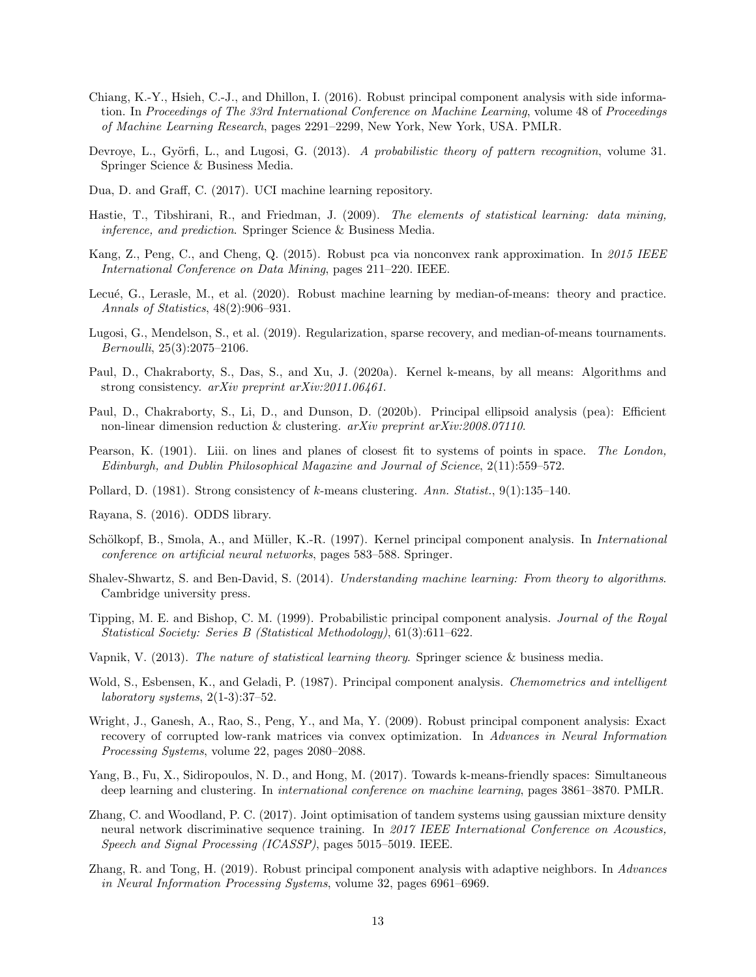- <span id="page-12-9"></span>Chiang, K.-Y., Hsieh, C.-J., and Dhillon, I. (2016). Robust principal component analysis with side information. In Proceedings of The 33rd International Conference on Machine Learning, volume 48 of Proceedings of Machine Learning Research, pages 2291–2299, New York, New York, USA. PMLR.
- <span id="page-12-13"></span>Devroye, L., Györfi, L., and Lugosi, G. (2013). A probabilistic theory of pattern recognition, volume 31. Springer Science & Business Media.
- <span id="page-12-17"></span>Dua, D. and Graff, C. (2017). UCI machine learning repository.
- <span id="page-12-2"></span>Hastie, T., Tibshirani, R., and Friedman, J. (2009). The elements of statistical learning: data mining, inference, and prediction. Springer Science & Business Media.
- <span id="page-12-8"></span>Kang, Z., Peng, C., and Cheng, Q. (2015). Robust pca via nonconvex rank approximation. In 2015 IEEE International Conference on Data Mining, pages 211–220. IEEE.
- <span id="page-12-12"></span>Lecué, G., Lerasle, M., et al. (2020). Robust machine learning by median-of-means: theory and practice. Annals of Statistics, 48(2):906–931.
- <span id="page-12-11"></span>Lugosi, G., Mendelson, S., et al. (2019). Regularization, sparse recovery, and median-of-means tournaments. Bernoulli, 25(3):2075–2106.
- <span id="page-12-16"></span>Paul, D., Chakraborty, S., Das, S., and Xu, J. (2020a). Kernel k-means, by all means: Algorithms and strong consistency. arXiv preprint arXiv:2011.06461.
- <span id="page-12-6"></span>Paul, D., Chakraborty, S., Li, D., and Dunson, D. (2020b). Principal ellipsoid analysis (pea): Efficient non-linear dimension reduction & clustering. arXiv preprint arXiv:2008.07110.
- <span id="page-12-0"></span>Pearson, K. (1901). Liii. on lines and planes of closest fit to systems of points in space. The London, Edinburgh, and Dublin Philosophical Magazine and Journal of Science, 2(11):559–572.
- <span id="page-12-15"></span>Pollard, D. (1981). Strong consistency of k-means clustering. Ann. Statist., 9(1):135–140.
- <span id="page-12-18"></span>Rayana, S. (2016). ODDS library.
- <span id="page-12-4"></span>Schölkopf, B., Smola, A., and Müller, K.-R. (1997). Kernel principal component analysis. In *International* conference on artificial neural networks, pages 583–588. Springer.
- <span id="page-12-14"></span>Shalev-Shwartz, S. and Ben-David, S. (2014). Understanding machine learning: From theory to algorithms. Cambridge university press.
- <span id="page-12-3"></span>Tipping, M. E. and Bishop, C. M. (1999). Probabilistic principal component analysis. Journal of the Royal Statistical Society: Series B (Statistical Methodology), 61(3):611–622.
- <span id="page-12-10"></span>Vapnik, V. (2013). The nature of statistical learning theory. Springer science & business media.
- <span id="page-12-1"></span>Wold, S., Esbensen, K., and Geladi, P. (1987). Principal component analysis. Chemometrics and intelligent laboratory systems,  $2(1-3):37-52$ .
- <span id="page-12-7"></span>Wright, J., Ganesh, A., Rao, S., Peng, Y., and Ma, Y. (2009). Robust principal component analysis: Exact recovery of corrupted low-rank matrices via convex optimization. In Advances in Neural Information Processing Systems, volume 22, pages 2080–2088.
- <span id="page-12-20"></span>Yang, B., Fu, X., Sidiropoulos, N. D., and Hong, M. (2017). Towards k-means-friendly spaces: Simultaneous deep learning and clustering. In *international conference on machine learning*, pages 3861–3870. PMLR.
- <span id="page-12-19"></span>Zhang, C. and Woodland, P. C. (2017). Joint optimisation of tandem systems using gaussian mixture density neural network discriminative sequence training. In 2017 IEEE International Conference on Acoustics, Speech and Signal Processing (ICASSP), pages 5015–5019. IEEE.
- <span id="page-12-5"></span>Zhang, R. and Tong, H. (2019). Robust principal component analysis with adaptive neighbors. In Advances in Neural Information Processing Systems, volume 32, pages 6961–6969.